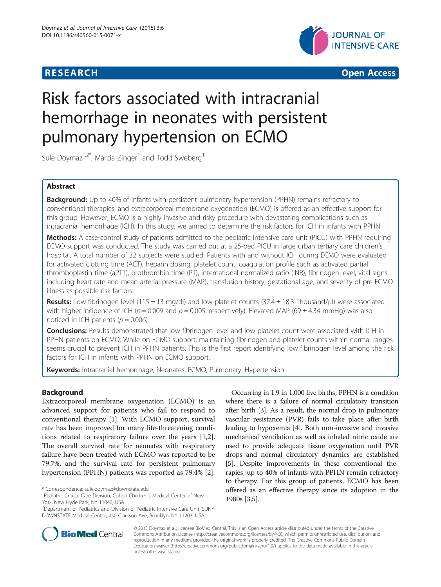



# Risk factors associated with intracranial hemorrhage in neonates with persistent pulmonary hypertension on ECMO

Sule Doymaz<sup>1,2\*</sup>, Marcia Zinger<sup>1</sup> and Todd Sweberg<sup>1</sup>

# Abstract

Background: Up to 40% of infants with persistent pulmonary hypertension (PPHN) remains refractory to conventional therapies, and extracorporeal membrane oxygenation (ECMO) is offered as an effective support for this group. However, ECMO is a highly invasive and risky procedure with devastating complications such as intracranial hemorrhage (ICH). In this study, we aimed to determine the risk factors for ICH in infants with PPHN.

Methods: A case-control study of patients admitted to the pediatric intensive care unit (PICU) with PPHN requiring ECMO support was conducted. The study was carried out at a 25-bed PICU in large urban tertiary care children's hospital. A total number of 32 subjects were studied. Patients with and without ICH during ECMO were evaluated for activated clotting time (ACT), heparin dosing, platelet count, coagulation profile such as activated partial thromboplastin time (aPTT), prothrombin time (PT), international normalized ratio (INR), fibrinogen level, vital signs including heart rate and mean arterial pressure (MAP), transfusion history, gestational age, and severity of pre-ECMO illness as possible risk factors.

Results: Low fibrinogen level (115 ± 13 mg/dl) and low platelet counts (37.4 ± 18.3 Thousand/µl) were associated with higher incidence of ICH ( $p = 0.009$  and  $p = 0.005$ , respectively). Elevated MAP (69 ± 4.34 mmHg) was also noticed in ICH patients ( $p = 0.006$ ).

Conclusions: Results demonstrated that low fibrinogen level and low platelet count were associated with ICH in PPHN patients on ECMO. While on ECMO support, maintaining fibrinogen and platelet counts within normal ranges seems crucial to prevent ICH in PPHN patients. This is the first report identifying low fibrinogen level among the risk factors for ICH in infants with PPHN on ECMO support.

Keywords: Intracranial hemorrhage, Neonates, ECMO, Pulmonary, Hypertension

# Background

Extracorporeal membrane oxygenation (ECMO) is an advanced support for patients who fail to respond to conventional therapy [\[1](#page-4-0)]. With ECMO support, survival rate has been improved for many life-threatening conditions related to respiratory failure over the years [\[1,2](#page-4-0)]. The overall survival rate for neonates with respiratory failure have been treated with ECMO was reported to be 79.7%, and the survival rate for persistent pulmonary hypertension (PPHN) patients was reported as 79.4% [\[2\]](#page-4-0).

\* Correspondence: [sule.doymaz@downstate.edu](mailto:sule.doymaz@downstate.edu) <sup>1</sup>

Occurring in 1.9 in 1,000 live births, PPHN is a condition where there is a failure of normal circulatory transition after birth [[3](#page-4-0)]. As a result, the normal drop in pulmonary vascular resistance (PVR) fails to take place after birth leading to hypoxemia [[4](#page-4-0)]. Both non-invasive and invasive mechanical ventilation as well as inhaled nitric oxide are used to provide adequate tissue oxygenation until PVR drops and normal circulatory dynamics are established [[5\]](#page-4-0). Despite improvements in these conventional therapies, up to 40% of infants with PPHN remain refractory to therapy. For this group of patients, ECMO has been offered as an effective therapy since its adoption in the 1980s [\[3,5](#page-4-0)].



© 2015 Doymaz et al.; licensee BioMed Central. This is an Open Access article distributed under the terms of the Creative Commons Attribution License [\(http://creativecommons.org/licenses/by/4.0\)](http://creativecommons.org/licenses/by/4.0), which permits unrestricted use, distribution, and reproduction in any medium, provided the original work is properly credited. The Creative Commons Public Domain Dedication waiver [\(http://creativecommons.org/publicdomain/zero/1.0/](http://creativecommons.org/publicdomain/zero/1.0/)) applies to the data made available in this article, unless otherwise stated.

<sup>&</sup>lt;sup>1</sup> Pediatric Critical Care Division, Cohen Children's Medical Center of New York, New Hyde Park, NY 11040, USA

<sup>2</sup> Department of Pediatrics and Division of Pediatric Intensive Care Unit, SUNY DOWNSTATE Medical Center, 450 Clarkson Ave, Brooklyn, NY 11203, USA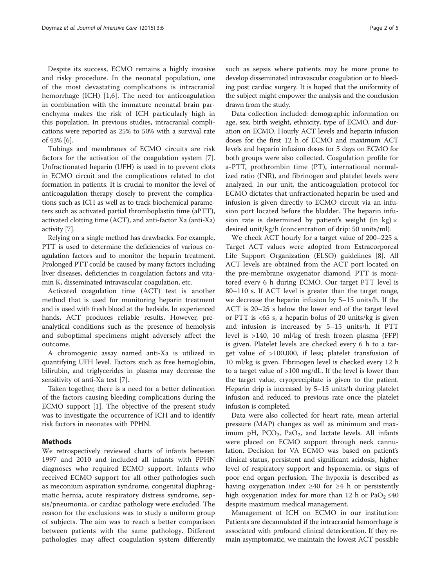Despite its success, ECMO remains a highly invasive and risky procedure. In the neonatal population, one of the most devastating complications is intracranial hemorrhage (ICH) [\[1,6](#page-4-0)]. The need for anticoagulation in combination with the immature neonatal brain parenchyma makes the risk of ICH particularly high in this population. In previous studies, intracranial complications were reported as 25% to 50% with a survival rate of 43% [\[6](#page-4-0)].

Tubings and membranes of ECMO circuits are risk factors for the activation of the coagulation system [\[7](#page-4-0)]. Unfractionated heparin (UFH) is used in to prevent clots in ECMO circuit and the complications related to clot formation in patients. It is crucial to monitor the level of anticoagulation therapy closely to prevent the complications such as ICH as well as to track biochemical parameters such as activated partial thromboplastin time (aPTT), activated clotting time (ACT), and anti-factor Xa (anti-Xa) activity [[7\]](#page-4-0).

Relying on a single method has drawbacks. For example, PTT is used to determine the deficiencies of various coagulation factors and to monitor the heparin treatment. Prolonged PTT could be caused by many factors including liver diseases, deficiencies in coagulation factors and vitamin K, disseminated intravascular coagulation, etc.

Activated coagulation time (ACT) test is another method that is used for monitoring heparin treatment and is used with fresh blood at the bedside. In experienced hands, ACT produces reliable results. However, preanalytical conditions such as the presence of hemolysis and suboptimal specimens might adversely affect the outcome.

A chromogenic assay named anti-Xa is utilized in quantifying UFH level. Factors such as free hemoglobin, bilirubin, and triglycerides in plasma may decrease the sensitivity of anti-Xa test [\[7](#page-4-0)].

Taken together, there is a need for a better delineation of the factors causing bleeding complications during the ECMO support [[1\]](#page-4-0). The objective of the present study was to investigate the occurrence of ICH and to identify risk factors in neonates with PPHN.

# Methods

We retrospectively reviewed charts of infants between 1997 and 2010 and included all infants with PPHN diagnoses who required ECMO support. Infants who received ECMO support for all other pathologies such as meconium aspiration syndrome, congenital diaphragmatic hernia, acute respiratory distress syndrome, sepsis/pneumonia, or cardiac pathology were excluded. The reason for the exclusions was to study a uniform group of subjects. The aim was to reach a better comparison between patients with the same pathology. Different pathologies may affect coagulation system differently

Data collection included: demographic information on age, sex, birth weight, ethnicity, type of ECMO, and duration on ECMO. Hourly ACT levels and heparin infusion doses for the first 12 h of ECMO and maximum ACT levels and heparin infusion doses for 5 days on ECMO for both groups were also collected. Coagulation profile for a-PTT, prothrombin time (PT), international normalized ratio (INR), and fibrinogen and platelet levels were analyzed. In our unit, the anticoagulation protocol for ECMO dictates that unfractionated heparin be used and infusion is given directly to ECMO circuit via an infusion port located before the bladder. The heparin infusion rate is determined by patient's weight (in  $kg \times$ desired unit/kg/h (concentration of drip: 50 units/ml).

We check ACT hourly for a target value of 200–225 s. Target ACT values were adopted from Extracorporeal Life Support Organization (ELSO) guidelines [\[8](#page-4-0)]. All ACT levels are obtained from the ACT port located on the pre-membrane oxygenator diamond. PTT is monitored every 6 h during ECMO. Our target PTT level is 80–110 s. If ACT level is greater than the target range, we decrease the heparin infusion by 5–15 units/h. If the ACT is 20–25 s below the lower end of the target level or PTT is <65 s, a heparin bolus of 20 units/kg is given and infusion is increased by 5–15 units/h. If PTT level is >140, 10 ml/kg of fresh frozen plasma (FFP) is given. Platelet levels are checked every 6 h to a target value of >100,000, if less; platelet transfusion of 10 ml/kg is given. Fibrinogen level is checked every 12 h to a target value of >100 mg/dL. If the level is lower than the target value, cryoprecipitate is given to the patient. Heparin drip is increased by 5–15 units/h during platelet infusion and reduced to previous rate once the platelet infusion is completed.

Data were also collected for heart rate, mean arterial pressure (MAP) changes as well as minimum and maximum pH,  $PCO_2$ ,  $PaO_2$ , and lactate levels. All infants were placed on ECMO support through neck cannulation. Decision for VA ECMO was based on patient's clinical status, persistent and significant acidosis, higher level of respiratory support and hypoxemia, or signs of poor end organ perfusion. The hypoxia is described as having oxygenation index ≥40 for ≥4 h or persistently high oxygenation index for more than 12 h or  $PaO<sub>2</sub> \leq 40$ despite maximum medical management.

Management of ICH on ECMO in our institution: Patients are decannulated if the intracranial hemorrhage is associated with profound clinical deterioration. If they remain asymptomatic, we maintain the lowest ACT possible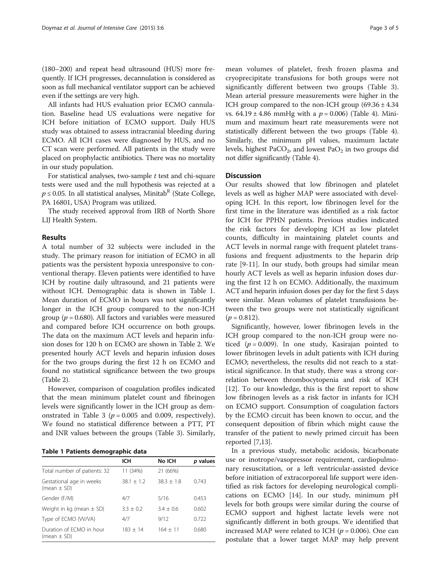<span id="page-2-0"></span>(180–200) and repeat head ultrasound (HUS) more frequently. If ICH progresses, decannulation is considered as soon as full mechanical ventilator support can be achieved even if the settings are very high.

All infants had HUS evaluation prior ECMO cannulation. Baseline head US evaluations were negative for ICH before initiation of ECMO support. Daily HUS study was obtained to assess intracranial bleeding during ECMO. All ICH cases were diagnosed by HUS, and no CT scan were performed. All patients in the study were placed on prophylactic antibiotics. There was no mortality in our study population.

For statistical analyses, two-sample  $t$  test and chi-square tests were used and the null hypothesis was rejected at a  $p \le 0.05$ . In all statistical analyses, Minitab<sup>R</sup> (State College, PA 16801, USA) Program was utilized.

The study received approval from IRB of North Shore LIJ Health System.

# Results

A total number of 32 subjects were included in the study. The primary reason for initiation of ECMO in all patients was the persistent hypoxia unresponsive to conventional therapy. Eleven patients were identified to have ICH by routine daily ultrasound, and 21 patients were without ICH. Demographic data is shown in Table 1. Mean duration of ECMO in hours was not significantly longer in the ICH group compared to the non-ICH group ( $p = 0.680$ ). All factors and variables were measured and compared before ICH occurrence on both groups. The data on the maximum ACT levels and heparin infusion doses for 120 h on ECMO are shown in Table [2](#page-3-0). We presented hourly ACT levels and heparin infusion doses for the two groups during the first 12 h on ECMO and found no statistical significance between the two groups (Table [2](#page-3-0)).

However, comparison of coagulation profiles indicated that the mean minimum platelet count and fibrinogen levels were significantly lower in the ICH group as dem-onstrated in Table [3](#page-3-0) ( $p = 0.005$  and 0.009, respectively). We found no statistical difference between a PTT, PT and INR values between the groups (Table [3\)](#page-3-0). Similarly,

Table 1 Patients demographic data

|                                             | ICH          | No ICH       |          |
|---------------------------------------------|--------------|--------------|----------|
|                                             |              |              | p values |
| Total number of patients: 32                | 11 (34%)     | 21 (66%)     |          |
| Gestational age in weeks<br>(mean $\pm$ SD) | $38.1 + 1.2$ | $38.3 + 1.8$ | 0.743    |
| Gender (F/M)                                | 4/7          | 5/16         | 0.453    |
| Weight in kg (mean $\pm$ SD)                | $3.3 + 0.2$  | $3.4 + 0.6$  | 0.602    |
| Type of ECMO (W/VA)                         | 4/7          | 9/12         | 0.722    |
| Duration of FCMO in hour<br>(mean $\pm$ SD) | $183 + 14$   | $164 + 11$   | 0.680    |

mean volumes of platelet, fresh frozen plasma and cryoprecipitate transfusions for both groups were not significantly different between two groups (Table [3](#page-3-0)). Mean arterial pressure measurements were higher in the ICH group compared to the non-ICH group  $(69.36 \pm 4.34)$ vs.  $64.19 \pm 4.86$  mmHg with a  $p = 0.006$ ) (Table [4\)](#page-3-0). Minimum and maximum heart rate measurements were not statistically different between the two groups (Table [4](#page-3-0)). Similarly, the minimum pH values, maximum lactate levels, highest PaCO<sub>2</sub>, and lowest PaO<sub>2</sub> in two groups did not differ significantly (Table [4](#page-3-0)).

## **Discussion**

Our results showed that low fibrinogen and platelet levels as well as higher MAP were associated with developing ICH. In this report, low fibrinogen level for the first time in the literature was identified as a risk factor for ICH for PPHN patients. Previous studies indicated the risk factors for developing ICH as low platelet counts, difficulty in maintaining platelet counts and ACT levels in normal range with frequent platelet transfusions and frequent adjustments to the heparin drip rate [\[9](#page-4-0)-[11](#page-4-0)]. In our study, both groups had similar mean hourly ACT levels as well as heparin infusion doses during the first 12 h on ECMO. Additionally, the maximum ACT and heparin infusion doses per day for the first 5 days were similar. Mean volumes of platelet transfusions between the two groups were not statistically significant  $(p = 0.812)$ .

Significantly, however, lower fibrinogen levels in the ICH group compared to the non-ICH group were noticed ( $p = 0.009$ ). In one study, Kasirajan pointed to lower fibrinogen levels in adult patients with ICH during ECMO; nevertheless, the results did not reach to a statistical significance. In that study, there was a strong correlation between thrombocytopenia and risk of ICH [[12\]](#page-4-0). To our knowledge, this is the first report to show low fibrinogen levels as a risk factor in infants for ICH on ECMO support. Consumption of coagulation factors by the ECMO circuit has been known to occur, and the consequent deposition of fibrin which might cause the transfer of the patient to newly primed circuit has been reported [[7,13\]](#page-4-0).

In a previous study, metabolic acidosis, bicarbonate use or inotrope/vasopressor requirement, cardiopulmonary resuscitation, or a left ventricular-assisted device before initiation of extracorporeal life support were identified as risk factors for developing neurological complications on ECMO [[14\]](#page-4-0). In our study, minimum pH levels for both groups were similar during the course of ECMO support and highest lactate levels were not significantly different in both groups. We identified that increased MAP were related to ICH ( $p = 0.006$ ). One can postulate that a lower target MAP may help prevent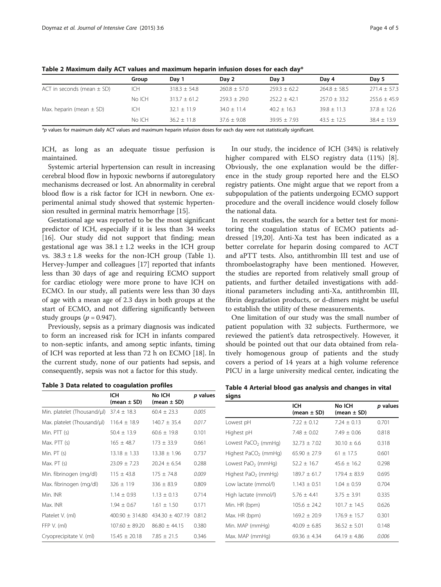|                                | Group      | Dav 1          | Dav 2            | Day 3            | Dav 4            | Day 5            |
|--------------------------------|------------|----------------|------------------|------------------|------------------|------------------|
| ACT in seconds (mean $\pm$ SD) | ICH        | $318.3 + 54.8$ | $260.8 \pm 57.0$ | $259.3 \pm 62.2$ | $264.8 \pm 58.5$ | $271.4 \pm 57.3$ |
|                                | No ICH     | $313.7 + 61.2$ | $259.3 + 29.0$   | $252.2 + 42.1$   | $257.0 + 33.2$   | $255.6 \pm 45.9$ |
| Max. heparin (mean $\pm$ SD)   | <b>ICH</b> | $32.1 + 11.9$  | $34.0 \pm 11.4$  | $40.2 + 16.3$    | $39.8 \pm 11.3$  | $37.8 \pm 12.6$  |
|                                | No ICH     | $36.2 + 11.8$  | $37.6 + 9.08$    | $39.95 + 7.93$   | $43.5 + 12.5$    | $38.4 + 13.9$    |

<span id="page-3-0"></span>Table 2 Maximum daily ACT values and maximum heparin infusion doses for each day\*

\*p values for maximum daily ACT values and maximum heparin infusion doses for each day were not statistically significant.

ICH, as long as an adequate tissue perfusion is maintained.

Systemic arterial hypertension can result in increasing cerebral blood flow in hypoxic newborns if autoregulatory mechanisms decreased or lost. An abnormality in cerebral blood flow is a risk factor for ICH in newborn. One experimental animal study showed that systemic hypertension resulted in germinal matrix hemorrhage [\[15](#page-4-0)].

Gestational age was reported to be the most significant predictor of ICH, especially if it is less than 34 weeks [[16\]](#page-4-0). Our study did not support that finding; mean gestational age was  $38.1 \pm 1.2$  weeks in the ICH group vs.  $38.3 \pm 1.8$  $38.3 \pm 1.8$  $38.3 \pm 1.8$  weeks for the non-ICH group (Table 1). Hervey-Jumper and colleagues [\[17\]](#page-4-0) reported that infants less than 30 days of age and requiring ECMO support for cardiac etiology were more prone to have ICH on ECMO. In our study, all patients were less than 30 days of age with a mean age of 2.3 days in both groups at the start of ECMO, and not differing significantly between study groups ( $p = 0.947$ ).

Previously, sepsis as a primary diagnosis was indicated to form an increased risk for ICH in infants compared to non-septic infants, and among septic infants, timing of ICH was reported at less than 72 h on ECMO [[18](#page-4-0)]. In the current study, none of our patients had sepsis, and consequently, sepsis was not a factor for this study.

| Table 3 Data related to coagulation profiles |  |  |
|----------------------------------------------|--|--|
|----------------------------------------------|--|--|

|                             | ICH<br>(mean $\pm$ SD) | No ICH<br>(mean $\pm$ SD) | p values |
|-----------------------------|------------------------|---------------------------|----------|
| Min. platelet (Thousand/µl) | $37.4 \pm 18.3$        | $60.4 \pm 23.3$           | 0.005    |
| Max. platelet (Thousand/µl) | $116.4 \pm 18.9$       | $140.7 \pm 35.4$          | 0.017    |
| Min. $PTT(s)$               | $50.4 \pm 13.9$        | $60.6 \pm 19.8$           | 0.101    |
| Max. PTT (s)                | $165 \pm 48.7$         | $173 \pm 33.9$            | 0.661    |
| Min. PT (s)                 | $13.18 \pm 1.33$       | $13.38 \pm 1.96$          | 0.737    |
| Max. $PT(s)$                | $23.09 \pm 7.23$       | $20.24 + 6.54$            | 0.288    |
| Min. fibrinogen (mg/dl)     | $115 \pm 43.8$         | $175 \pm 74.8$            | 0.009    |
| Max. fibrinogen (mg/dl)     | $326 \pm 119$          | $336 \pm 83.9$            | 0.809    |
| Min. INR                    | $1.14 \pm 0.93$        | $1.13 \pm 0.13$           | 0.714    |
| Max. INR                    | $1.94 \pm 0.67$        | $1.61 \pm 1.50$           | 0.171    |
| Platelet V. (ml)            | $400.90 \pm 314.80$    | $434.30 \pm 407.19$       | 0.812    |
| FFP V. (ml)                 | $107.60 \pm 89.20$     | $86.80 \pm 44.15$         | 0.380    |
| Cryoprecipitate V. (ml)     | $15.45 \pm 20.18$      | $7.85 \pm 21.5$           | 0.346    |

In our study, the incidence of ICH (34%) is relatively higher compared with ELSO registry data (11%) [\[8](#page-4-0)]. Obviously, the one explanation would be the difference in the study group reported here and the ELSO registry patients. One might argue that we report from a subpopulation of the patients undergoing ECMO support procedure and the overall incidence would closely follow the national data.

In recent studies, the search for a better test for monitoring the coagulation status of ECMO patients addressed [[19,20\]](#page-4-0). Anti-Xa test has been indicated as a better correlate for heparin dosing compared to ACT and aPTT tests. Also, antithrombin III test and use of thromboelastography have been mentioned. However, the studies are reported from relatively small group of patients, and further detailed investigations with additional parameters including anti-Xa, antithrombin III, fibrin degradation products, or d-dimers might be useful to establish the utility of these measurements.

One limitation of our study was the small number of patient population with 32 subjects. Furthermore, we reviewed the patient's data retrospectively. However, it should be pointed out that our data obtained from relatively homogenous group of patients and the study covers a period of 14 years at a high volume reference PICU in a large university medical center, indicating the

Table 4 Arterial blood gas analysis and changes in vital signs

|                                  | <b>ICH</b><br>(mean $\pm$ SD) | No ICH<br>(mean $\pm$ SD) | p values |
|----------------------------------|-------------------------------|---------------------------|----------|
| Lowest pH                        | $7.22 \pm 0.12$               | $7.24 \pm 0.13$           | 0.701    |
| Highest pH                       | $7.48 \pm 0.02$               | $7.49 + 0.06$             | 0.818    |
| Lowest PaCO <sub>2</sub> (mmHg)  | $32.73 + 7.02$                | $30.10 + 6.6$             | 0.318    |
| Highest PaCO <sub>2</sub> (mmHg) | $65.90 + 27.9$                | $61 \pm 17.5$             | 0.601    |
| Lowest $PaO2$ (mmHg)             | $52.2 \pm 16.7$               | $45.6 + 16.2$             | 0.298    |
| Highest PaO <sub>2</sub> (mmHg)  | $189.7 \pm 61.7$              | $179.4 + 83.9$            | 0.695    |
| Low lactate (mmol/l)             | $1.143 \pm 0.51$              | $1.04 + 0.59$             | 0.704    |
| High lactate (mmol/l)            | $5.76 \pm 4.41$               | $3.75 \pm 3.91$           | 0.335    |
| Min. HR (bpm)                    | $105.6 \pm 24.2$              | $101.7 \pm 14.5$          | 0.626    |
| Max. HR (bpm)                    | $169.2 + 20.9$                | $176.9 + 15.7$            | 0.301    |
| Min. MAP (mmHg)                  | $40.09 \pm 6.85$              | $36.52 \pm 5.01$          | 0.148    |
| Max. MAP (mmHg)                  | $69.36 \pm 4.34$              | $64.19 + 4.86$            | 0.006    |